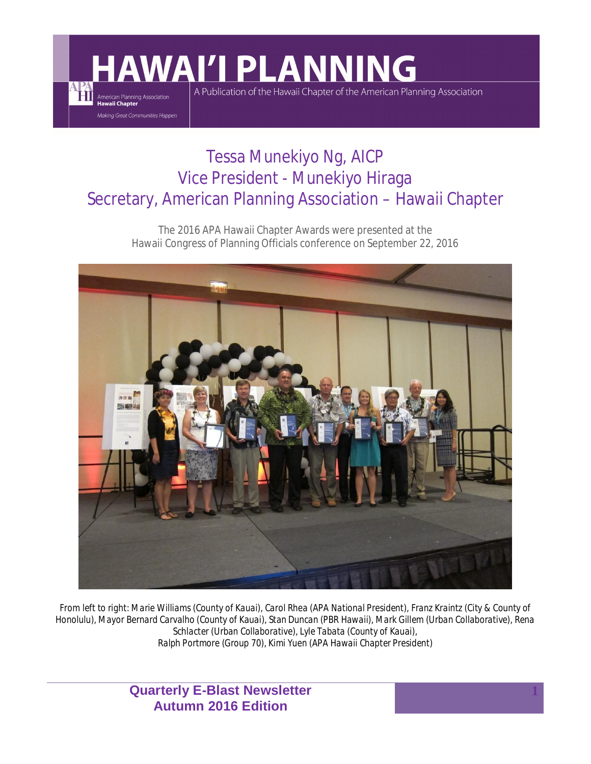# **AWAI'I PLANNING**

Ħ

American Planning Association<br>**Hawaii Chapter** Making Great Communities Happen A Publication of the Hawaii Chapter of the American Planning Association

### Tessa Munekiyo Ng, AICP Vice President - Munekiyo Hiraga Secretary, American Planning Association – Hawaii Chapter

The 2016 APA Hawaii Chapter Awards were presented at the Hawaii Congress of Planning Officials conference on September 22, 2016



*From left to right: Marie Williams (County of Kauai), Carol Rhea (APA National President), Franz Kraintz (City & County of Honolulu), Mayor Bernard Carvalho (County of Kauai), Stan Duncan (PBR Hawaii), Mark Gillem (Urban Collaborative), Rena Schlacter (Urban Collaborative), Lyle Tabata (County of Kauai), Ralph Portmore (Group 70), Kimi Yuen (APA Hawaii Chapter President)*

> **Quarterly E-Blast Newsletter Autumn 2016 Edition**